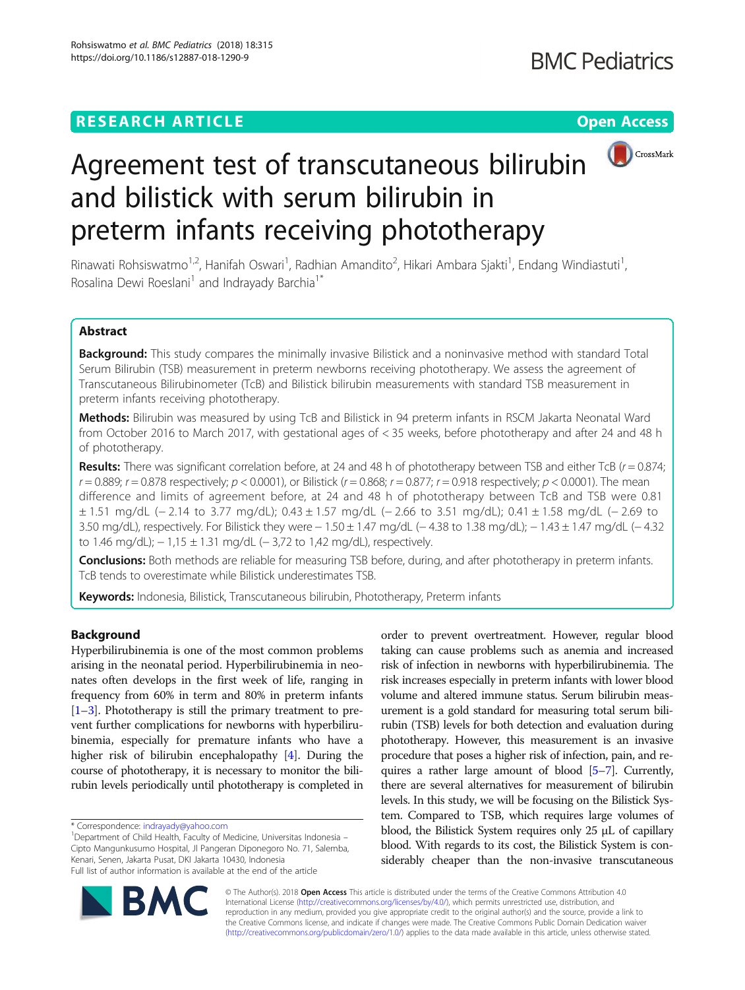## **RESEARCH ARTICLE Example 2018 12:30 THE Open Access**



# Agreement test of transcutaneous bilirubin and bilistick with serum bilirubin in preterm infants receiving phototherapy

Rinawati Rohsiswatmo<sup>1,2</sup>, Hanifah Oswari<sup>1</sup>, Radhian Amandito<sup>2</sup>, Hikari Ambara Sjakti<sup>1</sup>, Endang Windiastuti<sup>1</sup> , Rosalina Dewi Roeslani<sup>1</sup> and Indrayady Barchia<sup>1\*</sup>

## Abstract

Background: This study compares the minimally invasive Bilistick and a noninvasive method with standard Total Serum Bilirubin (TSB) measurement in preterm newborns receiving phototherapy. We assess the agreement of Transcutaneous Bilirubinometer (TcB) and Bilistick bilirubin measurements with standard TSB measurement in preterm infants receiving phototherapy.

Methods: Bilirubin was measured by using TcB and Bilistick in 94 preterm infants in RSCM Jakarta Neonatal Ward from October 2016 to March 2017, with gestational ages of < 35 weeks, before phototherapy and after 24 and 48 h of phototherapy.

**Results:** There was significant correlation before, at 24 and 48 h of phototherapy between TSB and either TcB ( $r = 0.874$ ;  $r = 0.889$ ;  $r = 0.878$  respectively;  $p < 0.0001$ ), or Bilistick ( $r = 0.868$ ;  $r = 0.877$ ;  $r = 0.918$  respectively;  $p < 0.0001$ ). The mean difference and limits of agreement before, at 24 and 48 h of phototherapy between TcB and TSB were 0.81 ± 1.51 mg/dL (− 2.14 to 3.77 mg/dL); 0.43 ± 1.57 mg/dL (− 2.66 to 3.51 mg/dL); 0.41 ± 1.58 mg/dL (− 2.69 to 3.50 mg/dL), respectively. For Bilistick they were − 1.50 ± 1.47 mg/dL (− 4.38 to 1.38 mg/dL); − 1.43 ± 1.47 mg/dL (− 4.32 to 1.46 mg/dL); − 1,15 ± 1.31 mg/dL (− 3,72 to 1,42 mg/dL), respectively.

Conclusions: Both methods are reliable for measuring TSB before, during, and after phototherapy in preterm infants. TcB tends to overestimate while Bilistick underestimates TSB.

Keywords: Indonesia, Bilistick, Transcutaneous bilirubin, Phototherapy, Preterm infants

## Background

Hyperbilirubinemia is one of the most common problems arising in the neonatal period. Hyperbilirubinemia in neonates often develops in the first week of life, ranging in frequency from 60% in term and 80% in preterm infants [[1](#page-5-0)–[3](#page-5-0)]. Phototherapy is still the primary treatment to prevent further complications for newborns with hyperbilirubinemia, especially for premature infants who have a higher risk of bilirubin encephalopathy [\[4\]](#page-5-0). During the course of phototherapy, it is necessary to monitor the bilirubin levels periodically until phototherapy is completed in

<sup>1</sup>Department of Child Health, Faculty of Medicine, Universitas Indonesia -Cipto Mangunkusumo Hospital, Jl Pangeran Diponegoro No. 71, Salemba, Kenari, Senen, Jakarta Pusat, DKI Jakarta 10430, Indonesia Full list of author information is available at the end of the article

order to prevent overtreatment. However, regular blood taking can cause problems such as anemia and increased risk of infection in newborns with hyperbilirubinemia. The risk increases especially in preterm infants with lower blood volume and altered immune status. Serum bilirubin measurement is a gold standard for measuring total serum bilirubin (TSB) levels for both detection and evaluation during phototherapy. However, this measurement is an invasive procedure that poses a higher risk of infection, pain, and requires a rather large amount of blood [[5](#page-5-0)–[7\]](#page-5-0). Currently, there are several alternatives for measurement of bilirubin levels. In this study, we will be focusing on the Bilistick System. Compared to TSB, which requires large volumes of blood, the Bilistick System requires only 25 μL of capillary blood. With regards to its cost, the Bilistick System is considerably cheaper than the non-invasive transcutaneous



© The Author(s). 2018 Open Access This article is distributed under the terms of the Creative Commons Attribution 4.0 International License [\(http://creativecommons.org/licenses/by/4.0/](http://creativecommons.org/licenses/by/4.0/)), which permits unrestricted use, distribution, and reproduction in any medium, provided you give appropriate credit to the original author(s) and the source, provide a link to the Creative Commons license, and indicate if changes were made. The Creative Commons Public Domain Dedication waiver [\(http://creativecommons.org/publicdomain/zero/1.0/](http://creativecommons.org/publicdomain/zero/1.0/)) applies to the data made available in this article, unless otherwise stated.

<sup>\*</sup> Correspondence: [indrayady@yahoo.com](mailto:indrayady@yahoo.com) <sup>1</sup>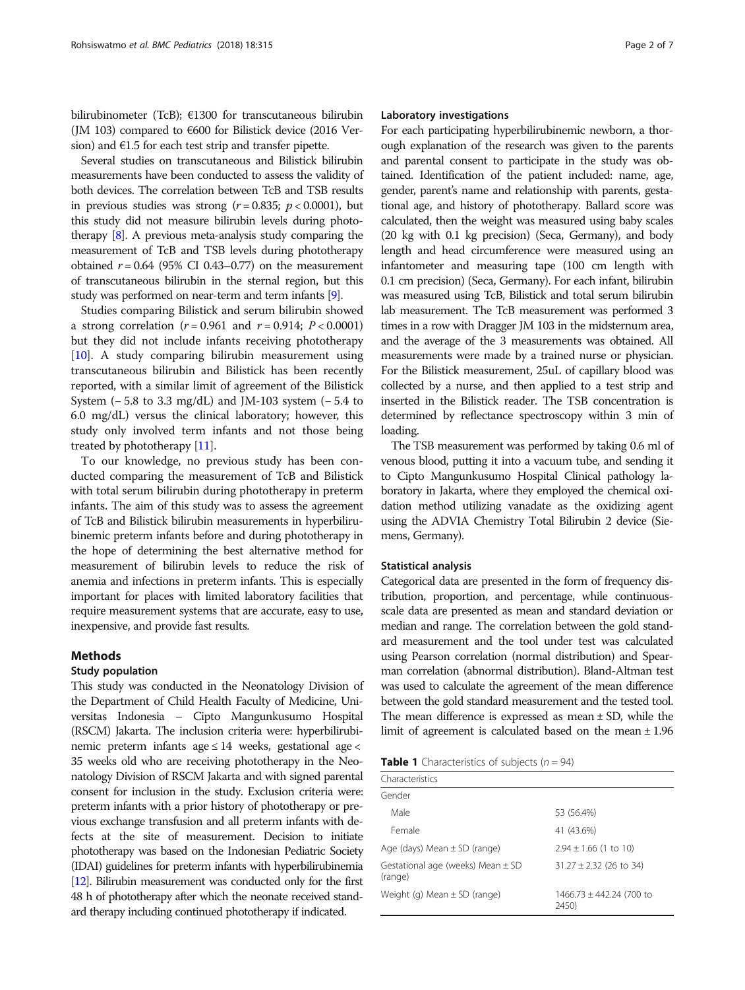<span id="page-1-0"></span>bilirubinometer (TcB); €1300 for transcutaneous bilirubin (JM 103) compared to  $600$  for Bilistick device (2016 Version) and  $E$ 1.5 for each test strip and transfer pipette.

Several studies on transcutaneous and Bilistick bilirubin measurements have been conducted to assess the validity of both devices. The correlation between TcB and TSB results in previous studies was strong ( $r = 0.835$ ;  $p < 0.0001$ ), but this study did not measure bilirubin levels during phototherapy [\[8](#page-5-0)]. A previous meta-analysis study comparing the measurement of TcB and TSB levels during phototherapy obtained  $r = 0.64$  (95% CI 0.43-0.77) on the measurement of transcutaneous bilirubin in the sternal region, but this study was performed on near-term and term infants [\[9](#page-5-0)].

Studies comparing Bilistick and serum bilirubin showed a strong correlation ( $r = 0.961$  and  $r = 0.914$ ;  $P < 0.0001$ ) but they did not include infants receiving phototherapy [[10](#page-6-0)]. A study comparing bilirubin measurement using transcutaneous bilirubin and Bilistick has been recently reported, with a similar limit of agreement of the Bilistick System (− 5.8 to 3.3 mg/dL) and JM-103 system (− 5.4 to 6.0 mg/dL) versus the clinical laboratory; however, this study only involved term infants and not those being treated by phototherapy [\[11\]](#page-6-0).

To our knowledge, no previous study has been conducted comparing the measurement of TcB and Bilistick with total serum bilirubin during phototherapy in preterm infants. The aim of this study was to assess the agreement of TcB and Bilistick bilirubin measurements in hyperbilirubinemic preterm infants before and during phototherapy in the hope of determining the best alternative method for measurement of bilirubin levels to reduce the risk of anemia and infections in preterm infants. This is especially important for places with limited laboratory facilities that require measurement systems that are accurate, easy to use, inexpensive, and provide fast results.

## Methods

## Study population

This study was conducted in the Neonatology Division of the Department of Child Health Faculty of Medicine, Universitas Indonesia – Cipto Mangunkusumo Hospital (RSCM) Jakarta. The inclusion criteria were: hyperbilirubinemic preterm infants age  $\leq 14$  weeks, gestational age  $<$ 35 weeks old who are receiving phototherapy in the Neonatology Division of RSCM Jakarta and with signed parental consent for inclusion in the study. Exclusion criteria were: preterm infants with a prior history of phototherapy or previous exchange transfusion and all preterm infants with defects at the site of measurement. Decision to initiate phototherapy was based on the Indonesian Pediatric Society (IDAI) guidelines for preterm infants with hyperbilirubinemia [[12\]](#page-6-0). Bilirubin measurement was conducted only for the first 48 h of phototherapy after which the neonate received standard therapy including continued phototherapy if indicated.

## Laboratory investigations

For each participating hyperbilirubinemic newborn, a thorough explanation of the research was given to the parents and parental consent to participate in the study was obtained. Identification of the patient included: name, age, gender, parent's name and relationship with parents, gestational age, and history of phototherapy. Ballard score was calculated, then the weight was measured using baby scales (20 kg with 0.1 kg precision) (Seca, Germany), and body length and head circumference were measured using an infantometer and measuring tape (100 cm length with 0.1 cm precision) (Seca, Germany). For each infant, bilirubin was measured using TcB, Bilistick and total serum bilirubin lab measurement. The TcB measurement was performed 3 times in a row with Dragger JM 103 in the midsternum area, and the average of the 3 measurements was obtained. All measurements were made by a trained nurse or physician. For the Bilistick measurement, 25uL of capillary blood was collected by a nurse, and then applied to a test strip and inserted in the Bilistick reader. The TSB concentration is determined by reflectance spectroscopy within 3 min of loading.

The TSB measurement was performed by taking 0.6 ml of venous blood, putting it into a vacuum tube, and sending it to Cipto Mangunkusumo Hospital Clinical pathology laboratory in Jakarta, where they employed the chemical oxidation method utilizing vanadate as the oxidizing agent using the ADVIA Chemistry Total Bilirubin 2 device (Siemens, Germany).

## Statistical analysis

Categorical data are presented in the form of frequency distribution, proportion, and percentage, while continuousscale data are presented as mean and standard deviation or median and range. The correlation between the gold standard measurement and the tool under test was calculated using Pearson correlation (normal distribution) and Spearman correlation (abnormal distribution). Bland-Altman test was used to calculate the agreement of the mean difference between the gold standard measurement and the tested tool. The mean difference is expressed as mean  $\pm$  SD, while the limit of agreement is calculated based on the mean ± 1.96

|  |  | <b>Table 1</b> Characteristics of subjects ( $n = 94$ ) |  |  |  |  |
|--|--|---------------------------------------------------------|--|--|--|--|
|--|--|---------------------------------------------------------|--|--|--|--|

| Characteristics                                  |                                       |
|--------------------------------------------------|---------------------------------------|
| Gender                                           |                                       |
| Male                                             | 53 (56.4%)                            |
| Female                                           | 41 (43.6%)                            |
| Age (days) Mean $\pm$ SD (range)                 | $2.94 \pm 1.66$ (1 to 10)             |
| Gestational age (weeks) Mean $\pm$ SD<br>(range) | $31.27 \pm 2.32$ (26 to 34)           |
| Weight (g) Mean $\pm$ SD (range)                 | $1466.73 \pm 442.24$ (700 to<br>2450) |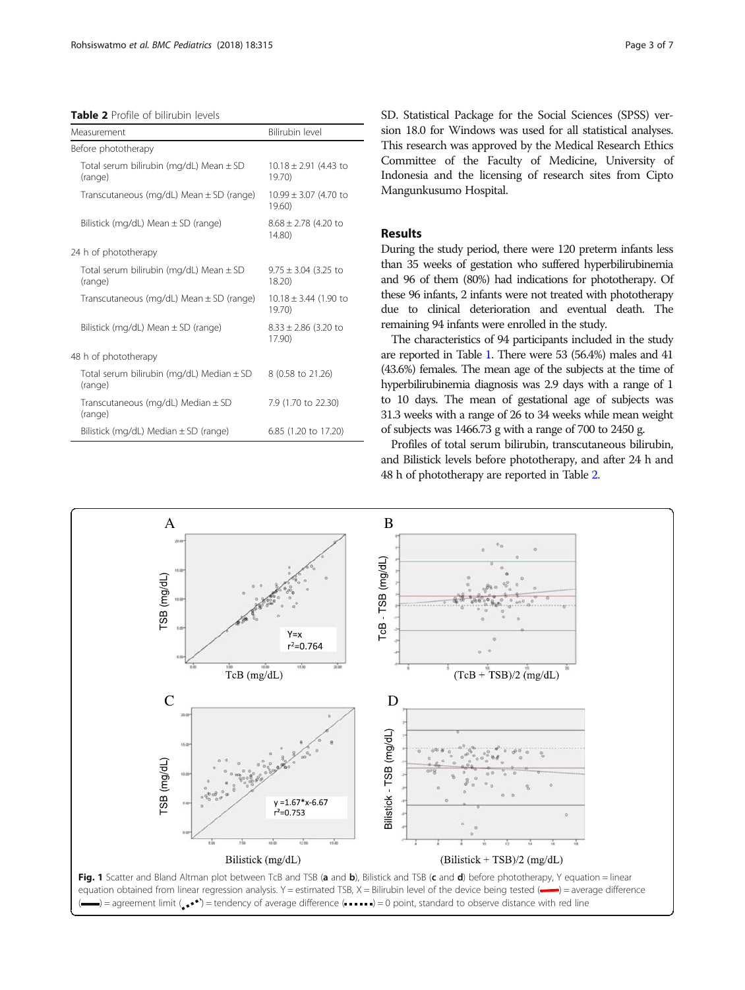<span id="page-2-0"></span>Table 2 Profile of bilirubin levels

| Measurement                                              | Bilirubin level                     |  |  |  |
|----------------------------------------------------------|-------------------------------------|--|--|--|
| Before phototherapy                                      |                                     |  |  |  |
| Total serum bilirubin (mg/dL) Mean $\pm$ SD<br>(range)   | $10.18 \pm 2.91$ (4.43 to<br>19.70  |  |  |  |
| Transcutaneous (mg/dL) Mean $\pm$ SD (range)             | $10.99 \pm 3.07$ (4.70 to<br>19.60  |  |  |  |
| Bilistick (mg/dL) Mean $\pm$ SD (range)                  | $8.68 \pm 2.78$ (4.20 to<br>14.80   |  |  |  |
| 24 h of phototherapy                                     |                                     |  |  |  |
| Total serum bilirubin (mg/dL) Mean $\pm$ SD<br>(range)   | $9.75 \pm 3.04$ (3.25 to<br>18.20   |  |  |  |
| Transcutaneous (mg/dL) Mean $\pm$ SD (range)             | $10.18 \pm 3.44$ (1.90 to<br>19.70) |  |  |  |
| Bilistick (mg/dL) Mean $\pm$ SD (range)                  | $8.33 \pm 2.86$ (3.20 to<br>17.90)  |  |  |  |
| 48 h of phototherapy                                     |                                     |  |  |  |
| Total serum bilirubin (mg/dL) Median $\pm$ SD<br>(range) | 8 (0.58 to 21.26)                   |  |  |  |
| Transcutaneous (mg/dL) Median $\pm$ SD<br>(range)        | 7.9 (1.70 to 22.30)                 |  |  |  |
| Bilistick (mg/dL) Median $\pm$ SD (range)                | 6.85 (1.20 to 17.20)                |  |  |  |

SD. Statistical Package for the Social Sciences (SPSS) version 18.0 for Windows was used for all statistical analyses. This research was approved by the Medical Research Ethics Committee of the Faculty of Medicine, University of Indonesia and the licensing of research sites from Cipto Mangunkusumo Hospital.

## Results

During the study period, there were 120 preterm infants less than 35 weeks of gestation who suffered hyperbilirubinemia and 96 of them (80%) had indications for phototherapy. Of these 96 infants, 2 infants were not treated with phototherapy due to clinical deterioration and eventual death. The remaining 94 infants were enrolled in the study.

The characteristics of 94 participants included in the study are reported in Table [1.](#page-1-0) There were 53 (56.4%) males and 41 (43.6%) females. The mean age of the subjects at the time of hyperbilirubinemia diagnosis was 2.9 days with a range of 1 to 10 days. The mean of gestational age of subjects was 31.3 weeks with a range of 26 to 34 weeks while mean weight of subjects was 1466.73 g with a range of 700 to 2450 g.

Profiles of total serum bilirubin, transcutaneous bilirubin, and Bilistick levels before phototherapy, and after 24 h and 48 h of phototherapy are reported in Table 2.

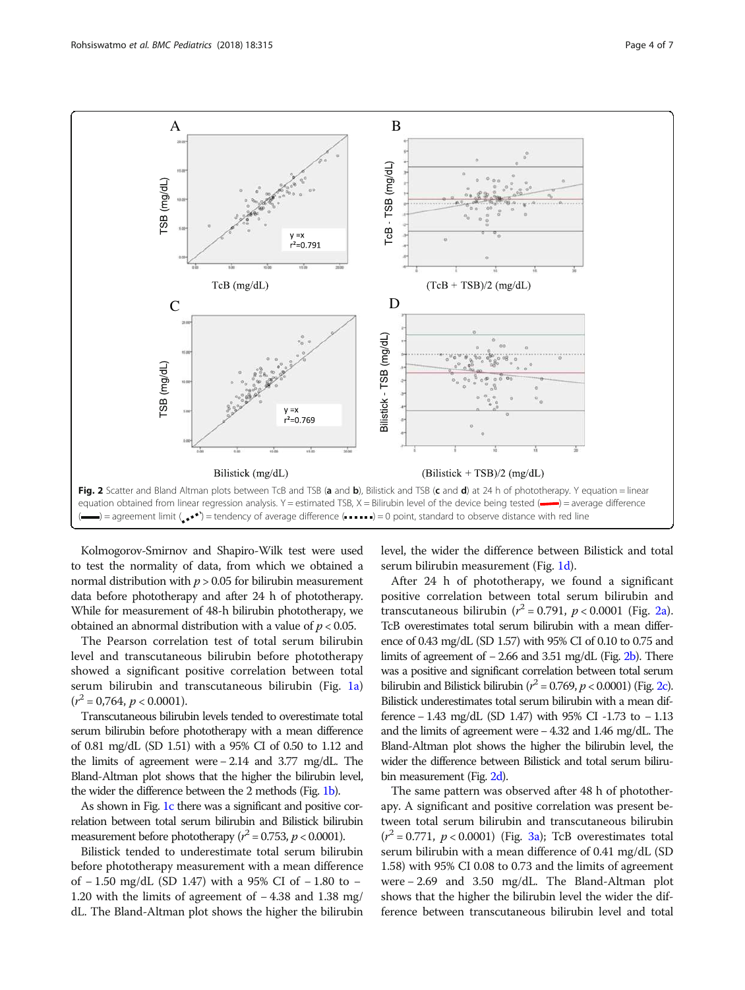

Kolmogorov-Smirnov and Shapiro-Wilk test were used to test the normality of data, from which we obtained a normal distribution with  $p > 0.05$  for bilirubin measurement data before phototherapy and after 24 h of phototherapy. While for measurement of 48-h bilirubin phototherapy, we obtained an abnormal distribution with a value of  $p < 0.05$ .

The Pearson correlation test of total serum bilirubin level and transcutaneous bilirubin before phototherapy showed a significant positive correlation between total serum bilirubin and transcutaneous bilirubin (Fig. [1a](#page-2-0))  $(r^2 = 0.764, p < 0.0001).$ 

Transcutaneous bilirubin levels tended to overestimate total serum bilirubin before phototherapy with a mean difference of 0.81 mg/dL (SD 1.51) with a 95% CI of 0.50 to 1.12 and the limits of agreement were − 2.14 and 3.77 mg/dL. The Bland-Altman plot shows that the higher the bilirubin level, the wider the difference between the 2 methods (Fig. [1b](#page-2-0)).

As shown in Fig. [1c](#page-2-0) there was a significant and positive correlation between total serum bilirubin and Bilistick bilirubin measurement before phototherapy ( $r^2 = 0.753$ ,  $p < 0.0001$ ).

Bilistick tended to underestimate total serum bilirubin before phototherapy measurement with a mean difference of − 1.50 mg/dL (SD 1.47) with a 95% CI of − 1.80 to − 1.20 with the limits of agreement of − 4.38 and 1.38 mg/ dL. The Bland-Altman plot shows the higher the bilirubin level, the wider the difference between Bilistick and total serum bilirubin measurement (Fig. [1d\)](#page-2-0).

After 24 h of phototherapy, we found a significant positive correlation between total serum bilirubin and transcutaneous bilirubin ( $r^2 = 0.791$ ,  $p < 0.0001$  (Fig. 2a). TcB overestimates total serum bilirubin with a mean difference of 0.43 mg/dL (SD 1.57) with 95% CI of 0.10 to 0.75 and limits of agreement of − 2.66 and 3.51 mg/dL (Fig. 2b). There was a positive and significant correlation between total serum bilirubin and Bilistick bilirubin ( $r^2 = 0.769$ ,  $p < 0.0001$ ) (Fig. 2c). Bilistick underestimates total serum bilirubin with a mean difference − 1.43 mg/dL (SD 1.47) with 95% CI -1.73 to − 1.13 and the limits of agreement were − 4.32 and 1.46 mg/dL. The Bland-Altman plot shows the higher the bilirubin level, the wider the difference between Bilistick and total serum bilirubin measurement (Fig. 2d).

The same pattern was observed after 48 h of phototherapy. A significant and positive correlation was present between total serum bilirubin and transcutaneous bilirubin  $(r^2 = 0.771, p < 0.0001)$  (Fig. [3a\)](#page-4-0); TcB overestimates total serum bilirubin with a mean difference of 0.41 mg/dL (SD 1.58) with 95% CI 0.08 to 0.73 and the limits of agreement were − 2.69 and 3.50 mg/dL. The Bland-Altman plot shows that the higher the bilirubin level the wider the difference between transcutaneous bilirubin level and total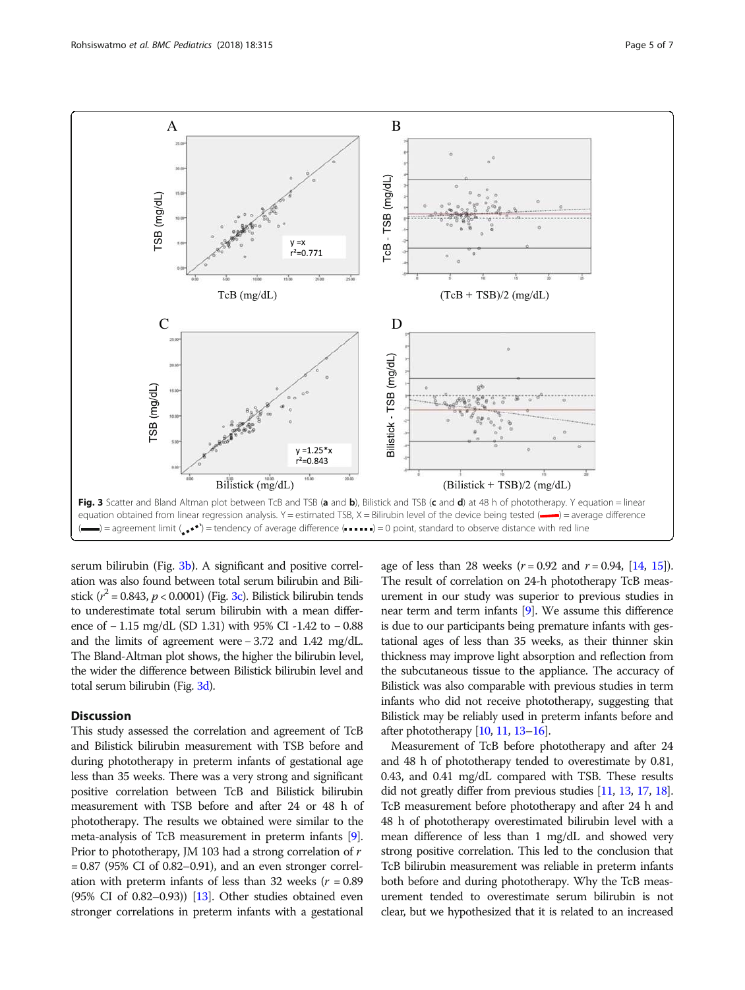<span id="page-4-0"></span>

serum bilirubin (Fig. 3b). A significant and positive correlation was also found between total serum bilirubin and Bilistick ( $r^2$  = 0.843,  $p$  < 0.0001) (Fig. 3c). Bilistick bilirubin tends to underestimate total serum bilirubin with a mean difference of − 1.15 mg/dL (SD 1.31) with 95% CI -1.42 to − 0.88 and the limits of agreement were − 3.72 and 1.42 mg/dL. The Bland-Altman plot shows, the higher the bilirubin level, the wider the difference between Bilistick bilirubin level and total serum bilirubin (Fig. 3d).

## **Discussion**

This study assessed the correlation and agreement of TcB and Bilistick bilirubin measurement with TSB before and during phototherapy in preterm infants of gestational age less than 35 weeks. There was a very strong and significant positive correlation between TcB and Bilistick bilirubin measurement with TSB before and after 24 or 48 h of phototherapy. The results we obtained were similar to the meta-analysis of TcB measurement in preterm infants [[9](#page-5-0)]. Prior to phototherapy, JM 103 had a strong correlation of r = 0.87 (95% CI of 0.82–0.91), and an even stronger correlation with preterm infants of less than 32 weeks ( $r = 0.89$ )  $(95\% \text{ CI of } 0.82-0.93)$  [\[13](#page-6-0)]. Other studies obtained even stronger correlations in preterm infants with a gestational

age of less than 28 weeks  $(r = 0.92$  and  $r = 0.94$ , [[14](#page-6-0), [15](#page-6-0)]). The result of correlation on 24-h phototherapy TcB measurement in our study was superior to previous studies in near term and term infants [\[9\]](#page-5-0). We assume this difference is due to our participants being premature infants with gestational ages of less than 35 weeks, as their thinner skin thickness may improve light absorption and reflection from the subcutaneous tissue to the appliance. The accuracy of Bilistick was also comparable with previous studies in term infants who did not receive phototherapy, suggesting that Bilistick may be reliably used in preterm infants before and after phototherapy [[10](#page-6-0), [11](#page-6-0), [13](#page-6-0)–[16](#page-6-0)].

Measurement of TcB before phototherapy and after 24 and 48 h of phototherapy tended to overestimate by 0.81, 0.43, and 0.41 mg/dL compared with TSB. These results did not greatly differ from previous studies [[11,](#page-6-0) [13](#page-6-0), [17,](#page-6-0) [18](#page-6-0)]. TcB measurement before phototherapy and after 24 h and 48 h of phototherapy overestimated bilirubin level with a mean difference of less than 1 mg/dL and showed very strong positive correlation. This led to the conclusion that TcB bilirubin measurement was reliable in preterm infants both before and during phototherapy. Why the TcB measurement tended to overestimate serum bilirubin is not clear, but we hypothesized that it is related to an increased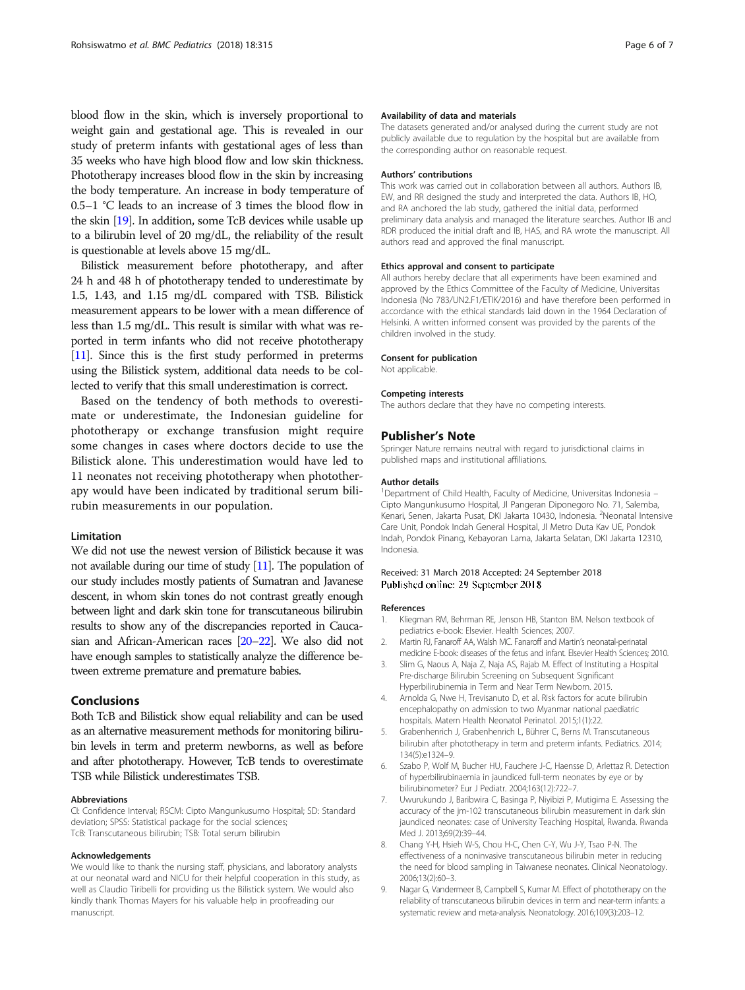<span id="page-5-0"></span>blood flow in the skin, which is inversely proportional to weight gain and gestational age. This is revealed in our study of preterm infants with gestational ages of less than 35 weeks who have high blood flow and low skin thickness. Phototherapy increases blood flow in the skin by increasing the body temperature. An increase in body temperature of 0.5–1 °C leads to an increase of 3 times the blood flow in the skin [\[19\]](#page-6-0). In addition, some TcB devices while usable up to a bilirubin level of 20 mg/dL, the reliability of the result is questionable at levels above 15 mg/dL.

Bilistick measurement before phototherapy, and after 24 h and 48 h of phototherapy tended to underestimate by 1.5, 1.43, and 1.15 mg/dL compared with TSB. Bilistick measurement appears to be lower with a mean difference of less than 1.5 mg/dL. This result is similar with what was reported in term infants who did not receive phototherapy [[11\]](#page-6-0). Since this is the first study performed in preterms using the Bilistick system, additional data needs to be collected to verify that this small underestimation is correct.

Based on the tendency of both methods to overestimate or underestimate, the Indonesian guideline for phototherapy or exchange transfusion might require some changes in cases where doctors decide to use the Bilistick alone. This underestimation would have led to 11 neonates not receiving phototherapy when phototherapy would have been indicated by traditional serum bilirubin measurements in our population.

## **Limitation**

We did not use the newest version of Bilistick because it was not available during our time of study [\[11](#page-6-0)]. The population of our study includes mostly patients of Sumatran and Javanese descent, in whom skin tones do not contrast greatly enough between light and dark skin tone for transcutaneous bilirubin results to show any of the discrepancies reported in Caucasian and African-American races [\[20](#page-6-0)–[22](#page-6-0)]. We also did not have enough samples to statistically analyze the difference between extreme premature and premature babies.

### Conclusions

Both TcB and Bilistick show equal reliability and can be used as an alternative measurement methods for monitoring bilirubin levels in term and preterm newborns, as well as before and after phototherapy. However, TcB tends to overestimate TSB while Bilistick underestimates TSB.

### Abbreviations

CI: Confidence Interval; RSCM: Cipto Mangunkusumo Hospital; SD: Standard deviation; SPSS: Statistical package for the social sciences; TcB: Transcutaneous bilirubin; TSB: Total serum bilirubin

#### Acknowledgements

We would like to thank the nursing staff, physicians, and laboratory analysts at our neonatal ward and NICU for their helpful cooperation in this study, as well as Claudio Tiribelli for providing us the Bilistick system. We would also kindly thank Thomas Mayers for his valuable help in proofreading our manuscript.

#### Availability of data and materials

The datasets generated and/or analysed during the current study are not publicly available due to regulation by the hospital but are available from the corresponding author on reasonable request.

#### Authors' contributions

This work was carried out in collaboration between all authors. Authors IB, EW, and RR designed the study and interpreted the data. Authors IB, HO, and RA anchored the lab study, gathered the initial data, performed preliminary data analysis and managed the literature searches. Author IB and RDR produced the initial draft and IB, HAS, and RA wrote the manuscript. All authors read and approved the final manuscript.

#### Ethics approval and consent to participate

All authors hereby declare that all experiments have been examined and approved by the Ethics Committee of the Faculty of Medicine, Universitas Indonesia (No 783/UN2.F1/ETIK/2016) and have therefore been performed in accordance with the ethical standards laid down in the 1964 Declaration of Helsinki. A written informed consent was provided by the parents of the children involved in the study.

#### Consent for publication

Not applicable.

#### Competing interests

The authors declare that they have no competing interests.

#### Publisher's Note

Springer Nature remains neutral with regard to jurisdictional claims in published maps and institutional affiliations.

#### Author details

<sup>1</sup> Department of Child Health, Faculty of Medicine, Universitas Indonesia -Cipto Mangunkusumo Hospital, Jl Pangeran Diponegoro No. 71, Salemba, Kenari, Senen, Jakarta Pusat, DKI Jakarta 10430, Indonesia. <sup>2</sup>Neonatal Intensive Care Unit, Pondok Indah General Hospital, Jl Metro Duta Kav UE, Pondok Indah, Pondok Pinang, Kebayoran Lama, Jakarta Selatan, DKI Jakarta 12310, Indonesia.

## Received: 31 March 2018 Accepted: 24 September 2018 Published online: 29 September 2018

#### References

- 1. Kliegman RM, Behrman RE, Jenson HB, Stanton BM. Nelson textbook of pediatrics e-book: Elsevier. Health Sciences; 2007.
- 2. Martin RJ, Fanaroff AA, Walsh MC. Fanaroff and Martin's neonatal-perinatal medicine E-book: diseases of the fetus and infant. Elsevier Health Sciences; 2010.
- 3. Slim G, Naous A, Naja Z, Naja AS, Rajab M. Effect of Instituting a Hospital Pre-discharge Bilirubin Screening on Subsequent Significant Hyperbilirubinemia in Term and Near Term Newborn. 2015.
- 4. Arnolda G, Nwe H, Trevisanuto D, et al. Risk factors for acute bilirubin encephalopathy on admission to two Myanmar national paediatric hospitals. Matern Health Neonatol Perinatol. 2015;1(1):22.
- 5. Grabenhenrich J, Grabenhenrich L, Bührer C, Berns M. Transcutaneous bilirubin after phototherapy in term and preterm infants. Pediatrics. 2014; 134(5):e1324–9.
- 6. Szabo P, Wolf M, Bucher HU, Fauchere J-C, Haensse D, Arlettaz R. Detection of hyperbilirubinaemia in jaundiced full-term neonates by eye or by bilirubinometer? Eur J Pediatr. 2004;163(12):722–7.
- 7. Uwurukundo J, Baribwira C, Basinga P, Niyibizi P, Mutigima E. Assessing the accuracy of the jm-102 transcutaneous bilirubin measurement in dark skin jaundiced neonates: case of University Teaching Hospital, Rwanda. Rwanda Med J. 2013;69(2):39–44.
- 8. Chang Y-H, Hsieh W-S, Chou H-C, Chen C-Y, Wu J-Y, Tsao P-N. The effectiveness of a noninvasive transcutaneous bilirubin meter in reducing the need for blood sampling in Taiwanese neonates. Clinical Neonatology. 2006;13(2):60–3.
- 9. Nagar G, Vandermeer B, Campbell S, Kumar M. Effect of phototherapy on the reliability of transcutaneous bilirubin devices in term and near-term infants: a systematic review and meta-analysis. Neonatology. 2016;109(3):203–12.